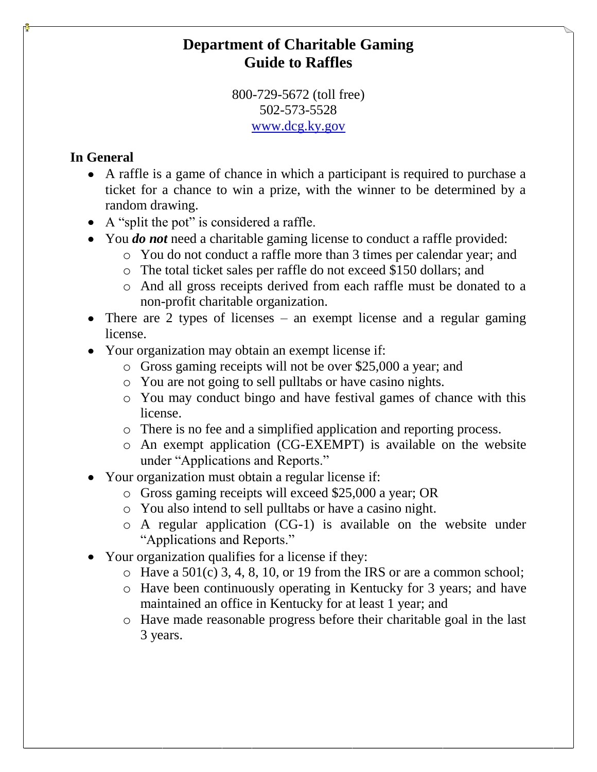# **Department of Charitable Gaming Guide to Raffles**

800-729-5672 (toll free) 502-573-5528 [www.dcg.ky.gov](http://www.dcg.ky.gov/)

## **In General**

- A raffle is a game of chance in which a participant is required to purchase a ticket for a chance to win a prize, with the winner to be determined by a random drawing.
- A "split the pot" is considered a raffle.
- You *do not* need a charitable gaming license to conduct a raffle provided:
	- o You do not conduct a raffle more than 3 times per calendar year; and
	- o The total ticket sales per raffle do not exceed \$150 dollars; and
	- o And all gross receipts derived from each raffle must be donated to a non-profit charitable organization.
- There are 2 types of licenses an exempt license and a regular gaming license.
- Your organization may obtain an exempt license if:
	- o Gross gaming receipts will not be over \$25,000 a year; and
	- o You are not going to sell pulltabs or have casino nights.
	- o You may conduct bingo and have festival games of chance with this license.
	- o There is no fee and a simplified application and reporting process.
	- o An exempt application (CG-EXEMPT) is available on the website under "Applications and Reports."
- Your organization must obtain a regular license if:
	- o Gross gaming receipts will exceed \$25,000 a year; OR
	- o You also intend to sell pulltabs or have a casino night.
	- o A regular application (CG-1) is available on the website under "Applications and Reports."
- Your organization qualifies for a license if they:
	- $\circ$  Have a 501(c) 3, 4, 8, 10, or 19 from the IRS or are a common school;
	- o Have been continuously operating in Kentucky for 3 years; and have maintained an office in Kentucky for at least 1 year; and
	- o Have made reasonable progress before their charitable goal in the last 3 years.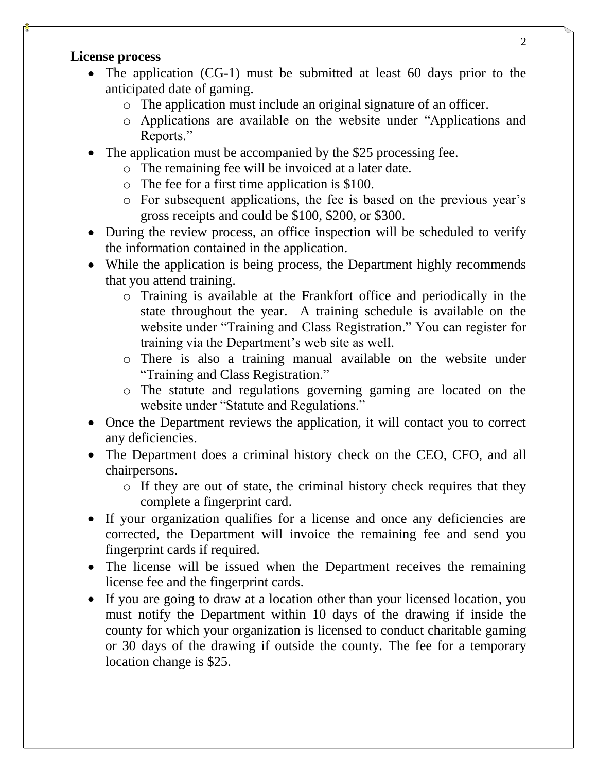#### **License process**

- The application (CG-1) must be submitted at least 60 days prior to the anticipated date of gaming.
	- o The application must include an original signature of an officer.
	- o Applications are available on the website under "Applications and Reports."
- The application must be accompanied by the \$25 processing fee.
	- o The remaining fee will be invoiced at a later date.
	- o The fee for a first time application is \$100.
	- o For subsequent applications, the fee is based on the previous year's gross receipts and could be \$100, \$200, or \$300.
- During the review process, an office inspection will be scheduled to verify the information contained in the application.
- While the application is being process, the Department highly recommends that you attend training.
	- o Training is available at the Frankfort office and periodically in the state throughout the year. A training schedule is available on the website under "Training and Class Registration." You can register for training via the Department's web site as well.
	- o There is also a training manual available on the website under "Training and Class Registration."
	- o The statute and regulations governing gaming are located on the website under "Statute and Regulations."
- Once the Department reviews the application, it will contact you to correct any deficiencies.
- The Department does a criminal history check on the CEO, CFO, and all chairpersons.
	- o If they are out of state, the criminal history check requires that they complete a fingerprint card.
- If your organization qualifies for a license and once any deficiencies are corrected, the Department will invoice the remaining fee and send you fingerprint cards if required.
- The license will be issued when the Department receives the remaining license fee and the fingerprint cards.
- If you are going to draw at a location other than your licensed location, you must notify the Department within 10 days of the drawing if inside the county for which your organization is licensed to conduct charitable gaming or 30 days of the drawing if outside the county. The fee for a temporary location change is \$25.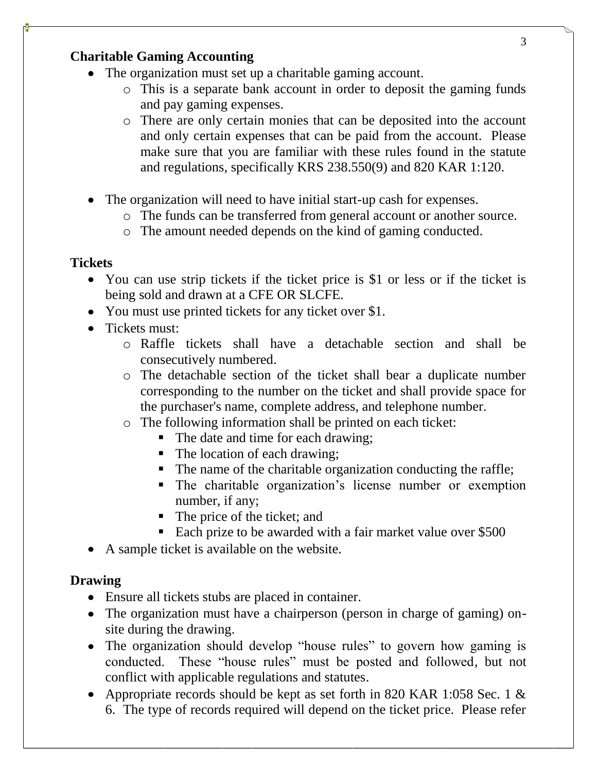### **Charitable Gaming Accounting**

- The organization must set up a charitable gaming account.
	- o This is a separate bank account in order to deposit the gaming funds and pay gaming expenses.
	- o There are only certain monies that can be deposited into the account and only certain expenses that can be paid from the account. Please make sure that you are familiar with these rules found in the statute and regulations, specifically KRS 238.550(9) and 820 KAR 1:120.
- The organization will need to have initial start-up cash for expenses.
	- o The funds can be transferred from general account or another source.
	- o The amount needed depends on the kind of gaming conducted.

### **Tickets**

- You can use strip tickets if the ticket price is \$1 or less or if the ticket is being sold and drawn at a CFE OR SLCFE.
- You must use printed tickets for any ticket over \$1.
- Tickets must:
	- o Raffle tickets shall have a detachable section and shall be consecutively numbered.
	- o The detachable section of the ticket shall bear a duplicate number corresponding to the number on the ticket and shall provide space for the purchaser's name, complete address, and telephone number.
	- o The following information shall be printed on each ticket:
		- The date and time for each drawing;
		- The location of each drawing;
		- The name of the charitable organization conducting the raffle;
		- The charitable organization's license number or exemption number, if any;
		- The price of the ticket; and
		- Each prize to be awarded with a fair market value over \$500
- A sample ticket is available on the website.

### **Drawing**

- Ensure all tickets stubs are placed in container.
- The organization must have a chairperson (person in charge of gaming) onsite during the drawing.
- The organization should develop "house rules" to govern how gaming is conducted. These "house rules" must be posted and followed, but not conflict with applicable regulations and statutes.
- Appropriate records should be kept as set forth in 820 KAR 1:058 Sec. 1 & 6. The type of records required will depend on the ticket price. Please refer